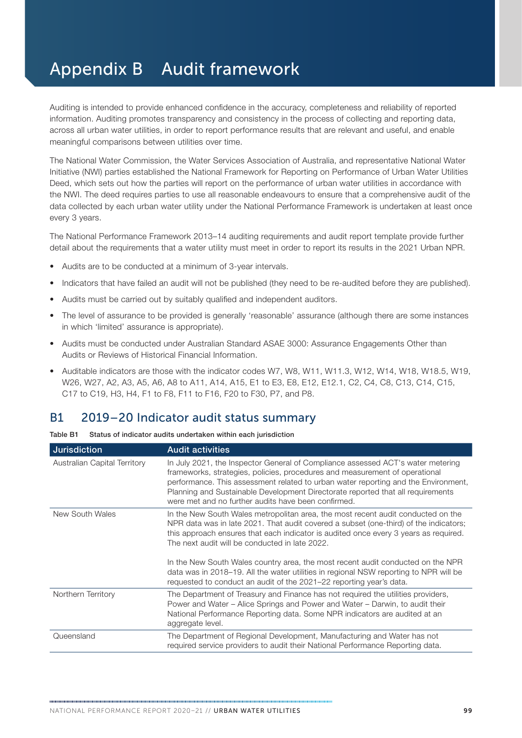## Appendix B Audit framework

Auditing is intended to provide enhanced confidence in the accuracy, completeness and reliability of reported information. Auditing promotes transparency and consistency in the process of collecting and reporting data, across all urban water utilities, in order to report performance results that are relevant and useful, and enable meaningful comparisons between utilities over time.

The National Water Commission, the Water Services Association of Australia, and representative National Water Initiative (NWI) parties established the National Framework for Reporting on Performance of Urban Water Utilities Deed, which sets out how the parties will report on the performance of urban water utilities in accordance with the NWI. The deed requires parties to use all reasonable endeavours to ensure that a comprehensive audit of the data collected by each urban water utility under the National Performance Framework is undertaken at least once every 3 years.

The National Performance Framework 2013–14 auditing requirements and audit report template provide further detail about the requirements that a water utility must meet in order to report its results in the 2021 Urban NPR.

- Audits are to be conducted at a minimum of 3-year intervals.
- Indicators that have failed an audit will not be published (they need to be re-audited before they are published).
- Audits must be carried out by suitably qualified and independent auditors.
- The level of assurance to be provided is generally 'reasonable' assurance (although there are some instances in which 'limited' assurance is appropriate).
- Audits must be conducted under Australian Standard ASAE 3000: Assurance Engagements Other than Audits or Reviews of Historical Financial Information.
- Auditable indicators are those with the indicator codes W7, W8, W11, W11.3, W12, W14, W18, W18.5, W19, W26, W27, A2, A3, A5, A6, A8 to A11, A14, A15, E1 to E3, E8, E12, E12.1, C2, C4, C8, C13, C14, C15, C17 to C19, H3, H4, F1 to F8, F11 to F16, F20 to F30, P7, and P8.

## B1 2019–20 Indicator audit status summary

| Table B1 | Status of indicator audits undertaken within each jurisdiction |  |  |  |  |  |
|----------|----------------------------------------------------------------|--|--|--|--|--|
|----------|----------------------------------------------------------------|--|--|--|--|--|

| <b>Jurisdiction</b>          | <b>Audit activities</b>                                                                                                                                                                                                                                                                                                                                                                        |
|------------------------------|------------------------------------------------------------------------------------------------------------------------------------------------------------------------------------------------------------------------------------------------------------------------------------------------------------------------------------------------------------------------------------------------|
| Australian Capital Territory | In July 2021, the Inspector General of Compliance assessed ACT's water metering<br>frameworks, strategies, policies, procedures and measurement of operational<br>performance. This assessment related to urban water reporting and the Environment,<br>Planning and Sustainable Development Directorate reported that all requirements<br>were met and no further audits have been confirmed. |
| New South Wales              | In the New South Wales metropolitan area, the most recent audit conducted on the<br>NPR data was in late 2021. That audit covered a subset (one-third) of the indicators;<br>this approach ensures that each indicator is audited once every 3 years as required.<br>The next audit will be conducted in late 2022.                                                                            |
|                              | In the New South Wales country area, the most recent audit conducted on the NPR<br>data was in 2018–19. All the water utilities in regional NSW reporting to NPR will be<br>requested to conduct an audit of the 2021–22 reporting year's data.                                                                                                                                                |
| Northern Territory           | The Department of Treasury and Finance has not required the utilities providers,<br>Power and Water – Alice Springs and Power and Water – Darwin, to audit their<br>National Performance Reporting data. Some NPR indicators are audited at an<br>aggregate level.                                                                                                                             |
| Queensland                   | The Department of Regional Development, Manufacturing and Water has not<br>required service providers to audit their National Performance Reporting data.                                                                                                                                                                                                                                      |